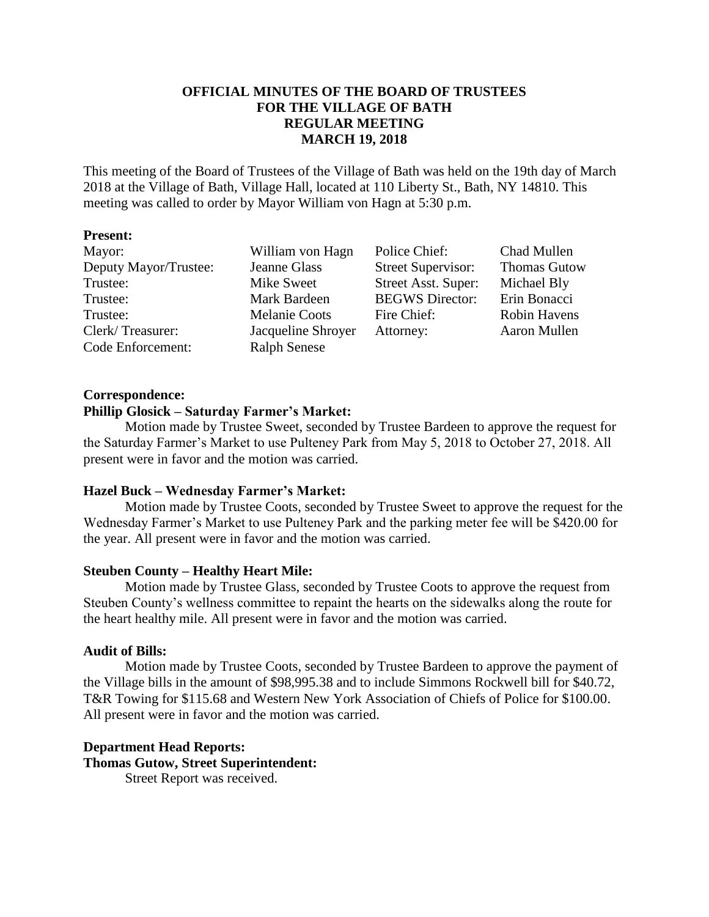# **OFFICIAL MINUTES OF THE BOARD OF TRUSTEES FOR THE VILLAGE OF BATH REGULAR MEETING MARCH 19, 2018**

This meeting of the Board of Trustees of the Village of Bath was held on the 19th day of March 2018 at the Village of Bath, Village Hall, located at 110 Liberty St., Bath, NY 14810. This meeting was called to order by Mayor William von Hagn at 5:30 p.m.

# **Present:**

| Mayor:                | William von Hagn     | Police Chief:             | Chad Mullen         |
|-----------------------|----------------------|---------------------------|---------------------|
| Deputy Mayor/Trustee: | Jeanne Glass         | <b>Street Supervisor:</b> | <b>Thomas Gutow</b> |
| Trustee:              | Mike Sweet           | Street Asst. Super:       | Michael Bly         |
| Trustee:              | Mark Bardeen         | <b>BEGWS</b> Director:    | Erin Bonacci        |
| Trustee:              | <b>Melanie Coots</b> | Fire Chief:               | Robin Havens        |
| Clerk/Treasurer:      | Jacqueline Shroyer   | Attorney:                 | Aaron Mullen        |
| Code Enforcement:     | <b>Ralph Senese</b>  |                           |                     |

#### **Correspondence:**

## **Phillip Glosick – Saturday Farmer's Market:**

Motion made by Trustee Sweet, seconded by Trustee Bardeen to approve the request for the Saturday Farmer's Market to use Pulteney Park from May 5, 2018 to October 27, 2018. All present were in favor and the motion was carried.

# **Hazel Buck – Wednesday Farmer's Market:**

Motion made by Trustee Coots, seconded by Trustee Sweet to approve the request for the Wednesday Farmer's Market to use Pulteney Park and the parking meter fee will be \$420.00 for the year. All present were in favor and the motion was carried.

#### **Steuben County – Healthy Heart Mile:**

Motion made by Trustee Glass, seconded by Trustee Coots to approve the request from Steuben County's wellness committee to repaint the hearts on the sidewalks along the route for the heart healthy mile. All present were in favor and the motion was carried.

# **Audit of Bills:**

Motion made by Trustee Coots, seconded by Trustee Bardeen to approve the payment of the Village bills in the amount of \$98,995.38 and to include Simmons Rockwell bill for \$40.72, T&R Towing for \$115.68 and Western New York Association of Chiefs of Police for \$100.00. All present were in favor and the motion was carried.

# **Department Head Reports:**

**Thomas Gutow, Street Superintendent:** Street Report was received.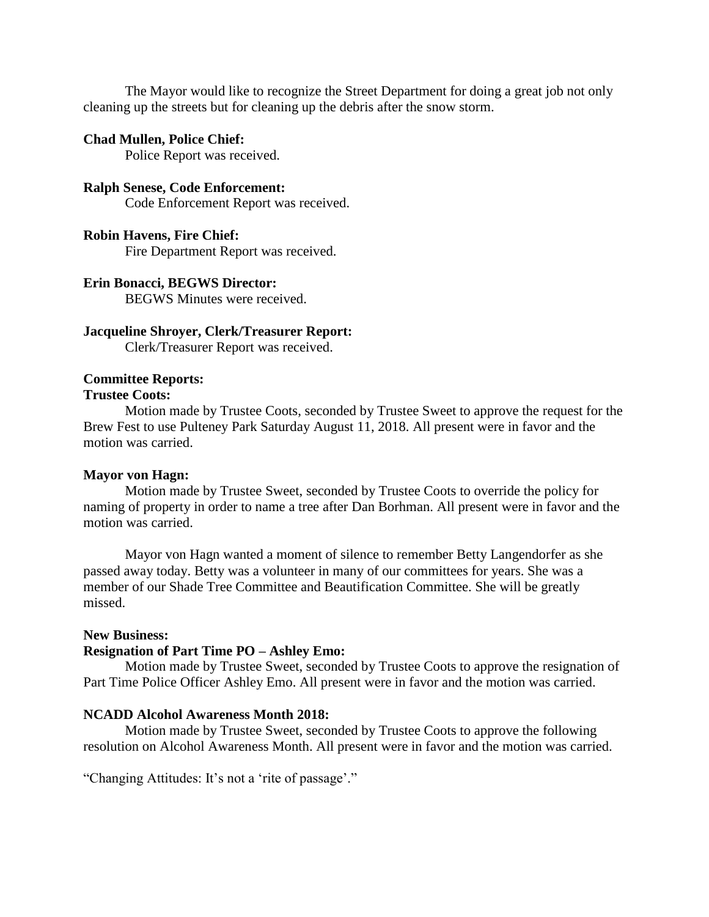The Mayor would like to recognize the Street Department for doing a great job not only cleaning up the streets but for cleaning up the debris after the snow storm.

#### **Chad Mullen, Police Chief:**

Police Report was received.

## **Ralph Senese, Code Enforcement:**

Code Enforcement Report was received.

# **Robin Havens, Fire Chief:**

Fire Department Report was received.

# **Erin Bonacci, BEGWS Director:**

BEGWS Minutes were received.

# **Jacqueline Shroyer, Clerk/Treasurer Report:**

Clerk/Treasurer Report was received.

#### **Committee Reports:**

# **Trustee Coots:**

Motion made by Trustee Coots, seconded by Trustee Sweet to approve the request for the Brew Fest to use Pulteney Park Saturday August 11, 2018. All present were in favor and the motion was carried.

#### **Mayor von Hagn:**

Motion made by Trustee Sweet, seconded by Trustee Coots to override the policy for naming of property in order to name a tree after Dan Borhman. All present were in favor and the motion was carried.

Mayor von Hagn wanted a moment of silence to remember Betty Langendorfer as she passed away today. Betty was a volunteer in many of our committees for years. She was a member of our Shade Tree Committee and Beautification Committee. She will be greatly missed.

#### **New Business:**

#### **Resignation of Part Time PO – Ashley Emo:**

Motion made by Trustee Sweet, seconded by Trustee Coots to approve the resignation of Part Time Police Officer Ashley Emo. All present were in favor and the motion was carried.

## **NCADD Alcohol Awareness Month 2018:**

Motion made by Trustee Sweet, seconded by Trustee Coots to approve the following resolution on Alcohol Awareness Month. All present were in favor and the motion was carried.

"Changing Attitudes: It's not a 'rite of passage'."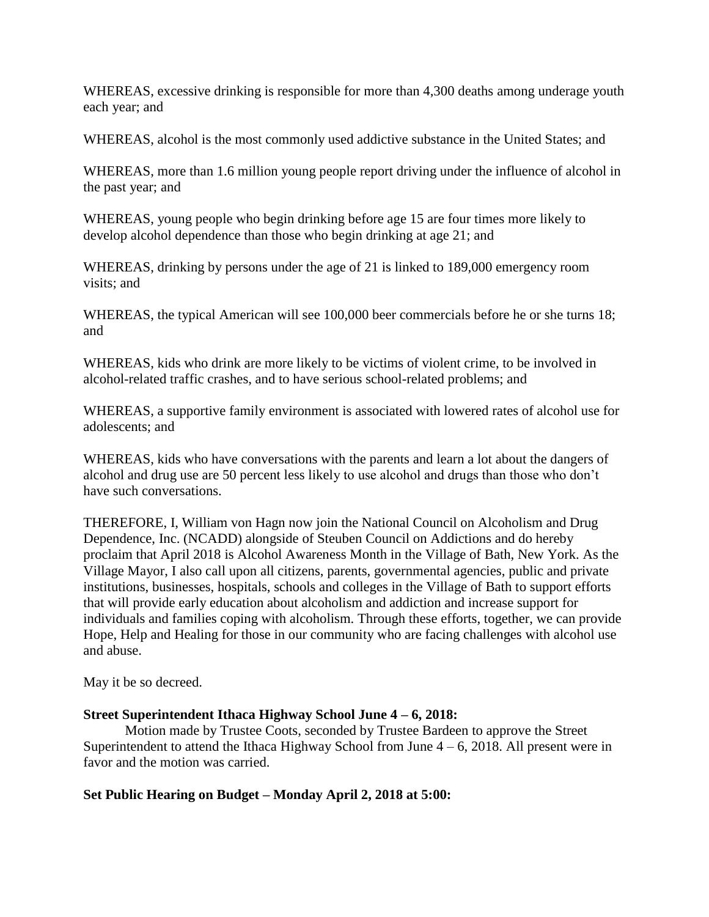WHEREAS, excessive drinking is responsible for more than 4,300 deaths among underage youth each year; and

WHEREAS, alcohol is the most commonly used addictive substance in the United States; and

WHEREAS, more than 1.6 million young people report driving under the influence of alcohol in the past year; and

WHEREAS, young people who begin drinking before age 15 are four times more likely to develop alcohol dependence than those who begin drinking at age 21; and

WHEREAS, drinking by persons under the age of 21 is linked to 189,000 emergency room visits; and

WHEREAS, the typical American will see 100,000 beer commercials before he or she turns 18; and

WHEREAS, kids who drink are more likely to be victims of violent crime, to be involved in alcohol-related traffic crashes, and to have serious school-related problems; and

WHEREAS, a supportive family environment is associated with lowered rates of alcohol use for adolescents; and

WHEREAS, kids who have conversations with the parents and learn a lot about the dangers of alcohol and drug use are 50 percent less likely to use alcohol and drugs than those who don't have such conversations.

THEREFORE, I, William von Hagn now join the National Council on Alcoholism and Drug Dependence, Inc. (NCADD) alongside of Steuben Council on Addictions and do hereby proclaim that April 2018 is Alcohol Awareness Month in the Village of Bath, New York. As the Village Mayor, I also call upon all citizens, parents, governmental agencies, public and private institutions, businesses, hospitals, schools and colleges in the Village of Bath to support efforts that will provide early education about alcoholism and addiction and increase support for individuals and families coping with alcoholism. Through these efforts, together, we can provide Hope, Help and Healing for those in our community who are facing challenges with alcohol use and abuse.

May it be so decreed.

# **Street Superintendent Ithaca Highway School June 4 – 6, 2018:**

Motion made by Trustee Coots, seconded by Trustee Bardeen to approve the Street Superintendent to attend the Ithaca Highway School from June  $4 - 6$ , 2018. All present were in favor and the motion was carried.

# **Set Public Hearing on Budget – Monday April 2, 2018 at 5:00:**